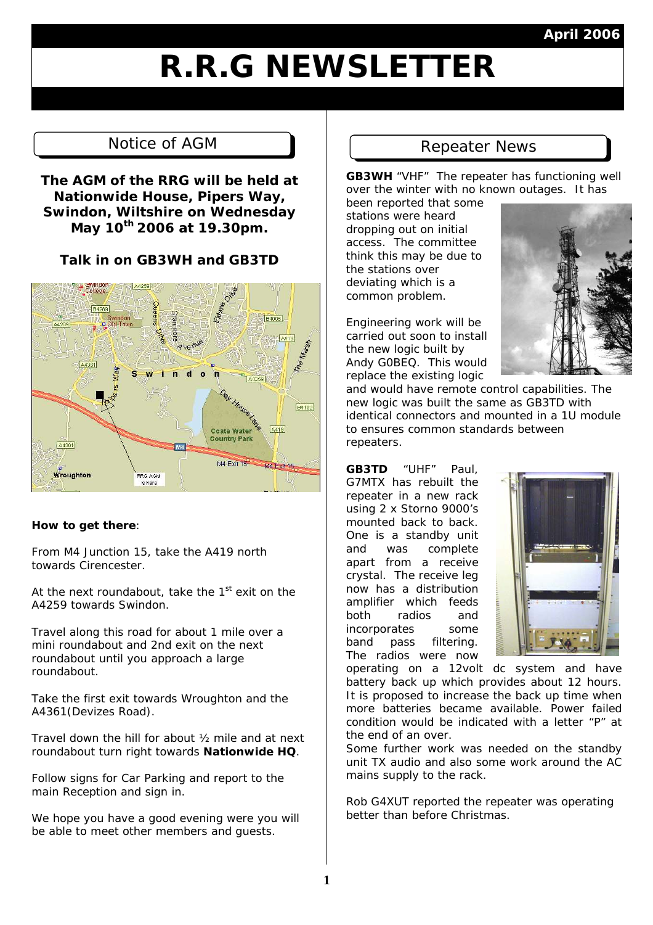### **April 2006**

# **R.R.G NEWSLETTER**

# Notice of AGM Repeater News

**The AGM of the RRG will be held at Nationwide House, Pipers Way, Swindon, Wiltshire on Wednesday May 10th 2006 at 19.30pm.** 

**Talk in on GB3WH and GB3TD** 



#### **How to get there**:

From M4 Junction 15, take the A419 north towards Cirencester.

At the next roundabout, take the  $1<sup>st</sup>$  exit on the A4259 towards Swindon.

Travel along this road for about 1 mile over a mini roundabout and 2nd exit on the next roundabout until you approach a large roundabout.

Take the first exit towards Wroughton and the A4361(Devizes Road).

Travel down the hill for about ½ mile and at next roundabout turn right towards **Nationwide HQ**.

Follow signs for Car Parking and report to the main Reception and sign in.

We hope you have a good evening were you will be able to meet other members and guests.

**GB3WH** "VHF" The repeater has functioning well over the winter with no known outages. It has

been reported that some stations were heard dropping out on initial access. The committee think this may be due to the stations over deviating which is a common problem.

Engineering work will be carried out soon to install the new logic built by Andy G0BEQ. This would replace the existing logic

and would have remote control capabilities. The new logic was built the same as GB3TD with identical connectors and mounted in a 1U module to ensures common standards between repeaters.

**GB3TD** "UHF" Paul, G7MTX has rebuilt the repeater in a new rack using 2 x Storno 9000's mounted back to back. One is a standby unit and was complete apart from a receive crystal. The receive leg now has a distribution amplifier which feeds both radios and incorporates some band pass filtering. The radios were now



operating on a 12volt dc system and have battery back up which provides about 12 hours. It is proposed to increase the back up time when more batteries became available. Power failed condition would be indicated with a letter "P" at the end of an over.

Some further work was needed on the standby unit TX audio and also some work around the AC mains supply to the rack.

Rob G4XUT reported the repeater was operating better than before Christmas.

**1**